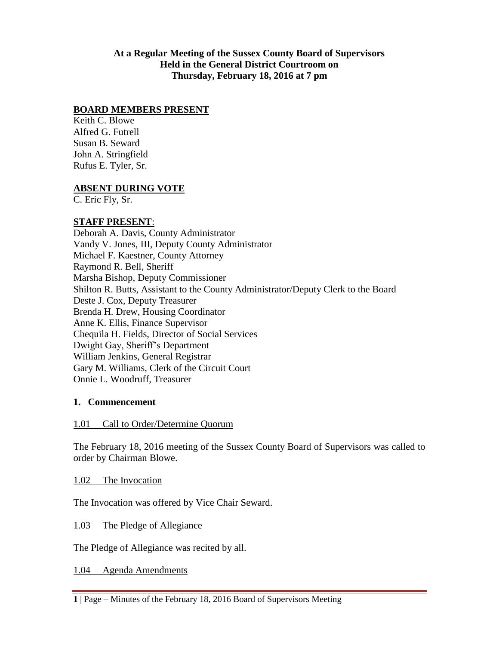### **At a Regular Meeting of the Sussex County Board of Supervisors Held in the General District Courtroom on Thursday, February 18, 2016 at 7 pm**

### **BOARD MEMBERS PRESENT**

Keith C. Blowe Alfred G. Futrell Susan B. Seward John A. Stringfield Rufus E. Tyler, Sr.

#### **ABSENT DURING VOTE**

C. Eric Fly, Sr.

### **STAFF PRESENT**:

Deborah A. Davis, County Administrator Vandy V. Jones, III, Deputy County Administrator Michael F. Kaestner, County Attorney Raymond R. Bell, Sheriff Marsha Bishop, Deputy Commissioner Shilton R. Butts, Assistant to the County Administrator/Deputy Clerk to the Board Deste J. Cox, Deputy Treasurer Brenda H. Drew, Housing Coordinator Anne K. Ellis, Finance Supervisor Chequila H. Fields, Director of Social Services Dwight Gay, Sheriff's Department William Jenkins, General Registrar Gary M. Williams, Clerk of the Circuit Court Onnie L. Woodruff, Treasurer

#### **1. Commencement**

#### 1.01 Call to Order/Determine Quorum

The February 18, 2016 meeting of the Sussex County Board of Supervisors was called to order by Chairman Blowe.

1.02 The Invocation

The Invocation was offered by Vice Chair Seward.

1.03 The Pledge of Allegiance

The Pledge of Allegiance was recited by all.

1.04 Agenda Amendments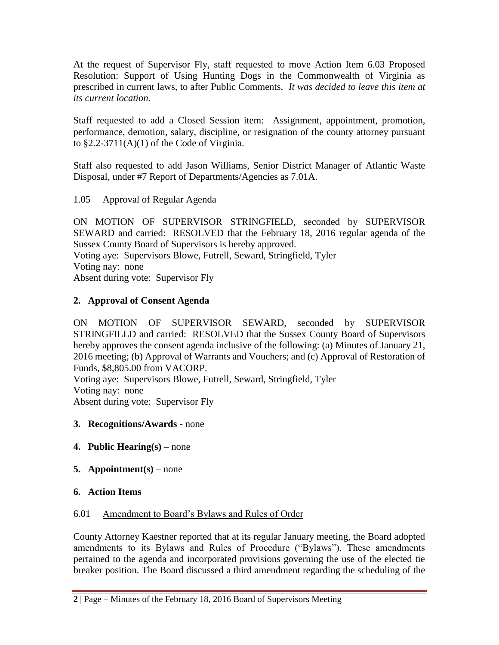At the request of Supervisor Fly, staff requested to move Action Item 6.03 Proposed Resolution: Support of Using Hunting Dogs in the Commonwealth of Virginia as prescribed in current laws, to after Public Comments. *It was decided to leave this item at its current location.*

Staff requested to add a Closed Session item: Assignment, appointment, promotion, performance, demotion, salary, discipline, or resignation of the county attorney pursuant to  $\S2.2-3711(A)(1)$  of the Code of Virginia.

Staff also requested to add Jason Williams, Senior District Manager of Atlantic Waste Disposal, under #7 Report of Departments/Agencies as 7.01A.

## 1.05 Approval of Regular Agenda

ON MOTION OF SUPERVISOR STRINGFIELD, seconded by SUPERVISOR SEWARD and carried: RESOLVED that the February 18, 2016 regular agenda of the Sussex County Board of Supervisors is hereby approved.

Voting aye: Supervisors Blowe, Futrell, Seward, Stringfield, Tyler Voting nay: none

Absent during vote: Supervisor Fly

# **2. Approval of Consent Agenda**

ON MOTION OF SUPERVISOR SEWARD, seconded by SUPERVISOR STRINGFIELD and carried: RESOLVED that the Sussex County Board of Supervisors hereby approves the consent agenda inclusive of the following: (a) Minutes of January 21, 2016 meeting; (b) Approval of Warrants and Vouchers; and (c) Approval of Restoration of Funds, \$8,805.00 from VACORP. Voting aye: Supervisors Blowe, Futrell, Seward, Stringfield, Tyler

Voting nay: none

Absent during vote: Supervisor Fly

- **3. Recognitions/Awards** none
- **4. Public Hearing(s)** none
- **5. Appointment(s)** none

## **6. Action Items**

## 6.01 Amendment to Board's Bylaws and Rules of Order

County Attorney Kaestner reported that at its regular January meeting, the Board adopted amendments to its Bylaws and Rules of Procedure ("Bylaws"). These amendments pertained to the agenda and incorporated provisions governing the use of the elected tie breaker position. The Board discussed a third amendment regarding the scheduling of the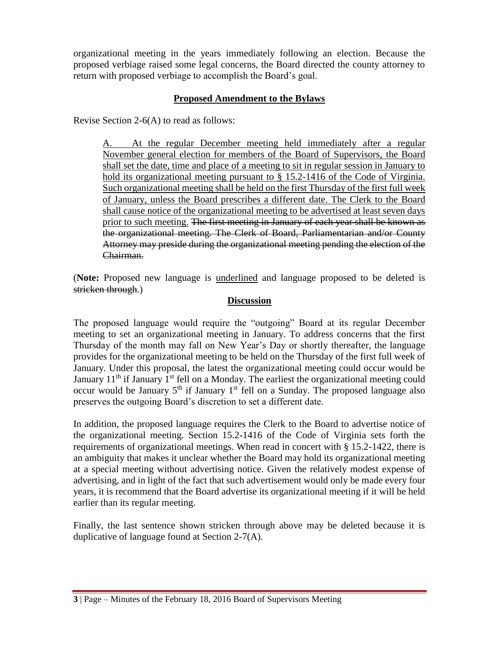organizational meeting in the years immediately following an election. Because the proposed verbiage raised some legal concerns, the Board directed the county attorney to return with proposed verbiage to accomplish the Board's goal.

## **Proposed Amendment to the Bylaws**

Revise Section 2-6(A) to read as follows:

A. At the regular December meeting held immediately after a regular November general election for members of the Board of Supervisors, the Board shall set the date, time and place of a meeting to sit in regular session in January to hold its organizational meeting pursuant to § 15.2-1416 of the Code of Virginia. Such organizational meeting shall be held on the first Thursday of the first full week of January, unless the Board prescribes a different date. The Clerk to the Board shall cause notice of the organizational meeting to be advertised at least seven days prior to such meeting. The first meeting in January of each year shall be known as the organizational meeting. The Clerk of Board, Parliamentarian and/or County Attorney may preside during the organizational meeting pending the election of the Chairman.

(**Note:** Proposed new language is underlined and language proposed to be deleted is stricken through.)

### **Discussion**

The proposed language would require the "outgoing" Board at its regular December meeting to set an organizational meeting in January. To address concerns that the first Thursday of the month may fall on New Year's Day or shortly thereafter, the language provides for the organizational meeting to be held on the Thursday of the first full week of January. Under this proposal, the latest the organizational meeting could occur would be January  $11<sup>th</sup>$  if January  $1<sup>st</sup>$  fell on a Monday. The earliest the organizational meeting could occur would be January  $5<sup>th</sup>$  if January 1<sup>st</sup> fell on a Sunday. The proposed language also preserves the outgoing Board's discretion to set a different date.

In addition, the proposed language requires the Clerk to the Board to advertise notice of the organizational meeting. Section 15.2-1416 of the Code of Virginia sets forth the requirements of organizational meetings. When read in concert with § 15.2-1422, there is an ambiguity that makes it unclear whether the Board may hold its organizational meeting at a special meeting without advertising notice. Given the relatively modest expense of advertising, and in light of the fact that such advertisement would only be made every four years, it is recommend that the Board advertise its organizational meeting if it will be held earlier than its regular meeting.

Finally, the last sentence shown stricken through above may be deleted because it is duplicative of language found at Section 2-7(A).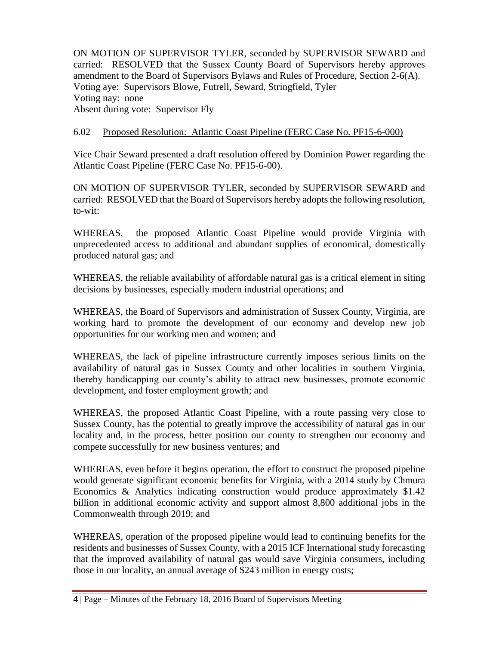ON MOTION OF SUPERVISOR TYLER, seconded by SUPERVISOR SEWARD and carried: RESOLVED that the Sussex County Board of Supervisors hereby approves amendment to the Board of Supervisors Bylaws and Rules of Procedure, Section 2-6(A). Voting aye: Supervisors Blowe, Futrell, Seward, Stringfield, Tyler Voting nay: none Absent during vote: Supervisor Fly

### 6.02 Proposed Resolution: Atlantic Coast Pipeline (FERC Case No. PF15-6-000)

Vice Chair Seward presented a draft resolution offered by Dominion Power regarding the Atlantic Coast Pipeline (FERC Case No. PF15-6-00).

ON MOTION OF SUPERVISOR TYLER, seconded by SUPERVISOR SEWARD and carried: RESOLVED that the Board of Supervisors hereby adopts the following resolution, to-wit:

WHEREAS, the proposed Atlantic Coast Pipeline would provide Virginia with unprecedented access to additional and abundant supplies of economical, domestically produced natural gas; and

WHEREAS, the reliable availability of affordable natural gas is a critical element in siting decisions by businesses, especially modern industrial operations; and

WHEREAS, the Board of Supervisors and administration of Sussex County, Virginia, are working hard to promote the development of our economy and develop new job opportunities for our working men and women; and

WHEREAS, the lack of pipeline infrastructure currently imposes serious limits on the availability of natural gas in Sussex County and other localities in southern Virginia, thereby handicapping our county's ability to attract new businesses, promote economic development, and foster employment growth; and

WHEREAS, the proposed Atlantic Coast Pipeline, with a route passing very close to Sussex County, has the potential to greatly improve the accessibility of natural gas in our locality and, in the process, better position our county to strengthen our economy and compete successfully for new business ventures; and

WHEREAS, even before it begins operation, the effort to construct the proposed pipeline would generate significant economic benefits for Virginia, with a 2014 study by Chmura Economics & Analytics indicating construction would produce approximately \$1.42 billion in additional economic activity and support almost 8,800 additional jobs in the Commonwealth through 2019; and

WHEREAS, operation of the proposed pipeline would lead to continuing benefits for the residents and businesses of Sussex County, with a 2015 ICF International study forecasting that the improved availability of natural gas would save Virginia consumers, including those in our locality, an annual average of \$243 million in energy costs;

**<sup>4</sup>** | Page – Minutes of the February 18, 2016 Board of Supervisors Meeting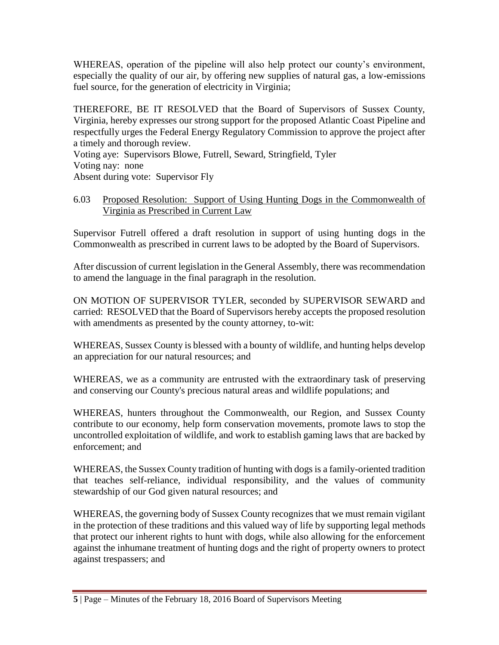WHEREAS, operation of the pipeline will also help protect our county's environment, especially the quality of our air, by offering new supplies of natural gas, a low-emissions fuel source, for the generation of electricity in Virginia;

THEREFORE, BE IT RESOLVED that the Board of Supervisors of Sussex County, Virginia, hereby expresses our strong support for the proposed Atlantic Coast Pipeline and respectfully urges the Federal Energy Regulatory Commission to approve the project after a timely and thorough review.

Voting aye: Supervisors Blowe, Futrell, Seward, Stringfield, Tyler Voting nay: none Absent during vote: Supervisor Fly

### 6.03 Proposed Resolution: Support of Using Hunting Dogs in the Commonwealth of Virginia as Prescribed in Current Law

Supervisor Futrell offered a draft resolution in support of using hunting dogs in the Commonwealth as prescribed in current laws to be adopted by the Board of Supervisors.

After discussion of current legislation in the General Assembly, there was recommendation to amend the language in the final paragraph in the resolution.

ON MOTION OF SUPERVISOR TYLER, seconded by SUPERVISOR SEWARD and carried: RESOLVED that the Board of Supervisors hereby accepts the proposed resolution with amendments as presented by the county attorney, to-wit:

WHEREAS, Sussex County is blessed with a bounty of wildlife, and hunting helps develop an appreciation for our natural resources; and

WHEREAS, we as a community are entrusted with the extraordinary task of preserving and conserving our County's precious natural areas and wildlife populations; and

WHEREAS, hunters throughout the Commonwealth, our Region, and Sussex County contribute to our economy, help form conservation movements, promote laws to stop the uncontrolled exploitation of wildlife, and work to establish gaming laws that are backed by enforcement; and

WHEREAS, the Sussex County tradition of hunting with dogs is a family-oriented tradition that teaches self-reliance, individual responsibility, and the values of community stewardship of our God given natural resources; and

WHEREAS, the governing body of Sussex County recognizes that we must remain vigilant in the protection of these traditions and this valued way of life by supporting legal methods that protect our inherent rights to hunt with dogs, while also allowing for the enforcement against the inhumane treatment of hunting dogs and the right of property owners to protect against trespassers; and

**<sup>5</sup>** | Page – Minutes of the February 18, 2016 Board of Supervisors Meeting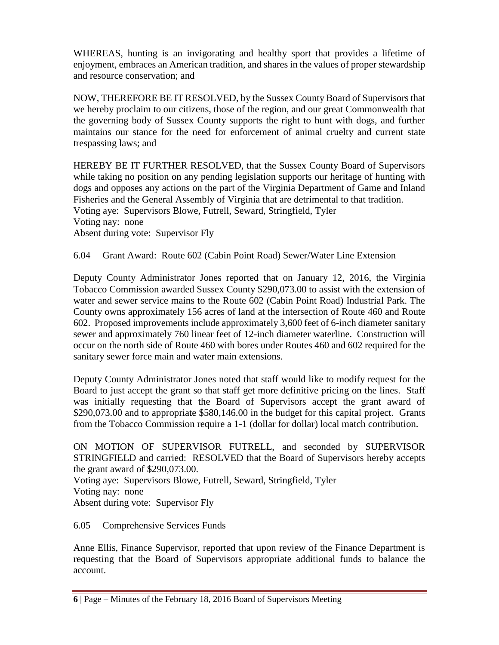WHEREAS, hunting is an invigorating and healthy sport that provides a lifetime of enjoyment, embraces an American tradition, and shares in the values of proper stewardship and resource conservation; and

NOW, THEREFORE BE IT RESOLVED, by the Sussex County Board of Supervisors that we hereby proclaim to our citizens, those of the region, and our great Commonwealth that the governing body of Sussex County supports the right to hunt with dogs, and further maintains our stance for the need for enforcement of animal cruelty and current state trespassing laws; and

HEREBY BE IT FURTHER RESOLVED, that the Sussex County Board of Supervisors while taking no position on any pending legislation supports our heritage of hunting with dogs and opposes any actions on the part of the Virginia Department of Game and Inland Fisheries and the General Assembly of Virginia that are detrimental to that tradition. Voting aye: Supervisors Blowe, Futrell, Seward, Stringfield, Tyler Voting nay: none Absent during vote: Supervisor Fly

# 6.04 Grant Award: Route 602 (Cabin Point Road) Sewer/Water Line Extension

Deputy County Administrator Jones reported that on January 12, 2016, the Virginia Tobacco Commission awarded Sussex County \$290,073.00 to assist with the extension of water and sewer service mains to the Route 602 (Cabin Point Road) Industrial Park. The County owns approximately 156 acres of land at the intersection of Route 460 and Route 602. Proposed improvements include approximately 3,600 feet of 6-inch diameter sanitary sewer and approximately 760 linear feet of 12-inch diameter waterline. Construction will occur on the north side of Route 460 with bores under Routes 460 and 602 required for the sanitary sewer force main and water main extensions.

Deputy County Administrator Jones noted that staff would like to modify request for the Board to just accept the grant so that staff get more definitive pricing on the lines. Staff was initially requesting that the Board of Supervisors accept the grant award of \$290,073.00 and to appropriate \$580,146.00 in the budget for this capital project. Grants from the Tobacco Commission require a 1-1 (dollar for dollar) local match contribution.

ON MOTION OF SUPERVISOR FUTRELL, and seconded by SUPERVISOR STRINGFIELD and carried: RESOLVED that the Board of Supervisors hereby accepts the grant award of \$290,073.00.

Voting aye: Supervisors Blowe, Futrell, Seward, Stringfield, Tyler Voting nay: none Absent during vote: Supervisor Fly

## 6.05 Comprehensive Services Funds

Anne Ellis, Finance Supervisor, reported that upon review of the Finance Department is requesting that the Board of Supervisors appropriate additional funds to balance the account.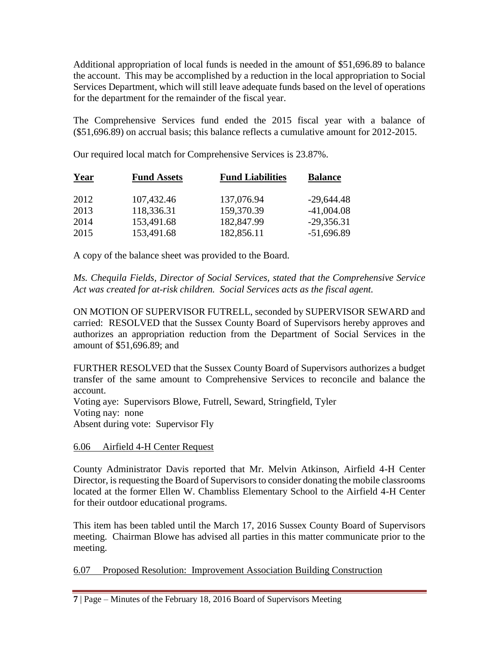Additional appropriation of local funds is needed in the amount of \$51,696.89 to balance the account. This may be accomplished by a reduction in the local appropriation to Social Services Department, which will still leave adequate funds based on the level of operations for the department for the remainder of the fiscal year.

The Comprehensive Services fund ended the 2015 fiscal year with a balance of (\$51,696.89) on accrual basis; this balance reflects a cumulative amount for 2012-2015.

Our required local match for Comprehensive Services is 23.87%.

| <b>Year</b> | <b>Fund Assets</b> | <b>Fund Liabilities</b> | <b>Balance</b> |
|-------------|--------------------|-------------------------|----------------|
| 2012        | 107,432.46         | 137,076.94              | $-29,644.48$   |
| 2013        | 118,336.31         | 159,370.39              | $-41,004.08$   |
| 2014        | 153,491.68         | 182,847.99              | $-29,356.31$   |
| 2015        | 153,491.68         | 182,856.11              | $-51,696.89$   |

A copy of the balance sheet was provided to the Board.

*Ms. Chequila Fields, Director of Social Services, stated that the Comprehensive Service Act was created for at-risk children. Social Services acts as the fiscal agent.* 

ON MOTION OF SUPERVISOR FUTRELL, seconded by SUPERVISOR SEWARD and carried: RESOLVED that the Sussex County Board of Supervisors hereby approves and authorizes an appropriation reduction from the Department of Social Services in the amount of \$51,696.89; and

FURTHER RESOLVED that the Sussex County Board of Supervisors authorizes a budget transfer of the same amount to Comprehensive Services to reconcile and balance the account.

Voting aye: Supervisors Blowe, Futrell, Seward, Stringfield, Tyler Voting nay: none Absent during vote: Supervisor Fly

6.06 Airfield 4-H Center Request

County Administrator Davis reported that Mr. Melvin Atkinson, Airfield 4-H Center Director, is requesting the Board of Supervisors to consider donating the mobile classrooms located at the former Ellen W. Chambliss Elementary School to the Airfield 4-H Center for their outdoor educational programs.

This item has been tabled until the March 17, 2016 Sussex County Board of Supervisors meeting. Chairman Blowe has advised all parties in this matter communicate prior to the meeting.

6.07 Proposed Resolution: Improvement Association Building Construction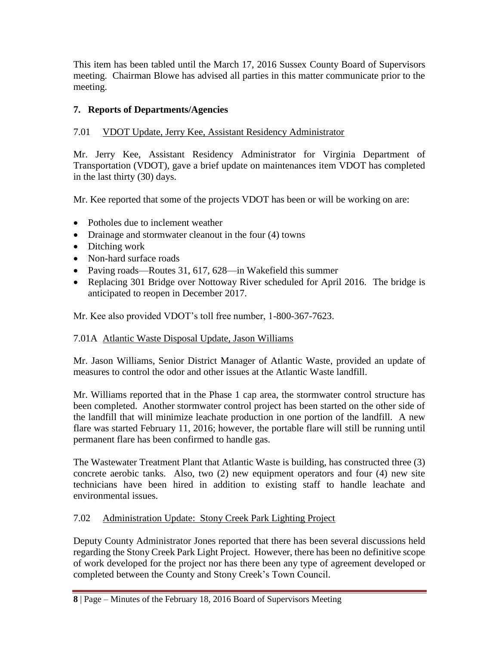This item has been tabled until the March 17, 2016 Sussex County Board of Supervisors meeting. Chairman Blowe has advised all parties in this matter communicate prior to the meeting.

# **7. Reports of Departments/Agencies**

# 7.01 VDOT Update, Jerry Kee, Assistant Residency Administrator

Mr. Jerry Kee, Assistant Residency Administrator for Virginia Department of Transportation (VDOT), gave a brief update on maintenances item VDOT has completed in the last thirty (30) days.

Mr. Kee reported that some of the projects VDOT has been or will be working on are:

- Potholes due to inclement weather
- Drainage and stormwater cleanout in the four (4) towns
- Ditching work
- Non-hard surface roads
- Paving roads—Routes 31, 617, 628—in Wakefield this summer
- Replacing 301 Bridge over Nottoway River scheduled for April 2016. The bridge is anticipated to reopen in December 2017.

Mr. Kee also provided VDOT's toll free number, 1-800-367-7623.

# 7.01A Atlantic Waste Disposal Update, Jason Williams

Mr. Jason Williams, Senior District Manager of Atlantic Waste, provided an update of measures to control the odor and other issues at the Atlantic Waste landfill.

Mr. Williams reported that in the Phase 1 cap area, the stormwater control structure has been completed. Another stormwater control project has been started on the other side of the landfill that will minimize leachate production in one portion of the landfill. A new flare was started February 11, 2016; however, the portable flare will still be running until permanent flare has been confirmed to handle gas.

The Wastewater Treatment Plant that Atlantic Waste is building, has constructed three (3) concrete aerobic tanks. Also, two (2) new equipment operators and four (4) new site technicians have been hired in addition to existing staff to handle leachate and environmental issues.

# 7.02 Administration Update: Stony Creek Park Lighting Project

Deputy County Administrator Jones reported that there has been several discussions held regarding the Stony Creek Park Light Project. However, there has been no definitive scope of work developed for the project nor has there been any type of agreement developed or completed between the County and Stony Creek's Town Council.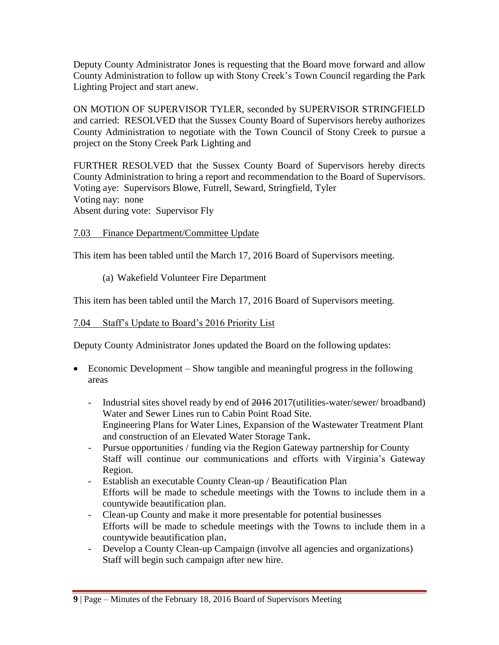Deputy County Administrator Jones is requesting that the Board move forward and allow County Administration to follow up with Stony Creek's Town Council regarding the Park Lighting Project and start anew.

ON MOTION OF SUPERVISOR TYLER, seconded by SUPERVISOR STRINGFIELD and carried: RESOLVED that the Sussex County Board of Supervisors hereby authorizes County Administration to negotiate with the Town Council of Stony Creek to pursue a project on the Stony Creek Park Lighting and

FURTHER RESOLVED that the Sussex County Board of Supervisors hereby directs County Administration to bring a report and recommendation to the Board of Supervisors. Voting aye: Supervisors Blowe, Futrell, Seward, Stringfield, Tyler Voting nay: none Absent during vote: Supervisor Fly

## 7.03 Finance Department/Committee Update

This item has been tabled until the March 17, 2016 Board of Supervisors meeting.

(a) Wakefield Volunteer Fire Department

This item has been tabled until the March 17, 2016 Board of Supervisors meeting.

# 7.04 Staff's Update to Board's 2016 Priority List

Deputy County Administrator Jones updated the Board on the following updates:

- Economic Development Show tangible and meaningful progress in the following areas
	- Industrial sites shovel ready by end of 2016 2017 (utilities-water/sewer/ broadband) Water and Sewer Lines run to Cabin Point Road Site. Engineering Plans for Water Lines, Expansion of the Wastewater Treatment Plant and construction of an Elevated Water Storage Tank**.**
	- Pursue opportunities / funding via the Region Gateway partnership for County Staff will continue our communications and efforts with Virginia's Gateway Region.
	- Establish an executable County Clean-up / Beautification Plan Efforts will be made to schedule meetings with the Towns to include them in a countywide beautification plan.
	- Clean-up County and make it more presentable for potential businesses Efforts will be made to schedule meetings with the Towns to include them in a countywide beautification plan**.**
	- Develop a County Clean-up Campaign (involve all agencies and organizations) Staff will begin such campaign after new hire.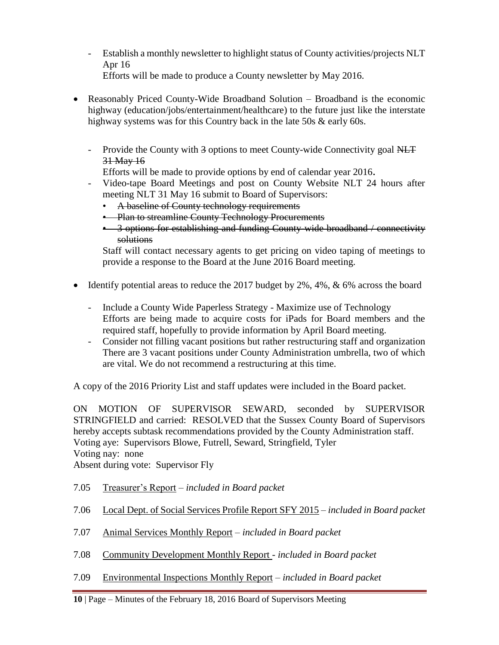- Establish a monthly newsletter to highlight status of County activities/projects NLT Apr 16 Efforts will be made to produce a County newsletter by May 2016.
- Reasonably Priced County-Wide Broadband Solution Broadband is the economic highway (education/jobs/entertainment/healthcare) to the future just like the interstate highway systems was for this Country back in the late 50s & early 60s.
	- Provide the County with 3 options to meet County-wide Connectivity goal NLT 31 May 16

Efforts will be made to provide options by end of calendar year 2016**.**

- Video-tape Board Meetings and post on County Website NLT 24 hours after meeting NLT 31 May 16 submit to Board of Supervisors:
	- A baseline of County technology requirements
	- Plan to streamline County Technology Procurements
	- $\bullet$  3 options for establishing and funding County-wide broadband / connectivity solutions

Staff will contact necessary agents to get pricing on video taping of meetings to provide a response to the Board at the June 2016 Board meeting.

- Identify potential areas to reduce the 2017 budget by  $2\%$ ,  $4\%$ ,  $\&$  6% across the board
	- Include a County Wide Paperless Strategy Maximize use of Technology Efforts are being made to acquire costs for iPads for Board members and the required staff, hopefully to provide information by April Board meeting.
	- Consider not filling vacant positions but rather restructuring staff and organization There are 3 vacant positions under County Administration umbrella, two of which are vital. We do not recommend a restructuring at this time.

A copy of the 2016 Priority List and staff updates were included in the Board packet.

ON MOTION OF SUPERVISOR SEWARD, seconded by SUPERVISOR STRINGFIELD and carried: RESOLVED that the Sussex County Board of Supervisors hereby accepts subtask recommendations provided by the County Administration staff. Voting aye: Supervisors Blowe, Futrell, Seward, Stringfield, Tyler Voting nay: none

Absent during vote: Supervisor Fly

- 7.05 Treasurer's Report *included in Board packet*
- 7.06 Local Dept. of Social Services Profile Report SFY 2015 *included in Board packet*
- 7.07 Animal Services Monthly Report *included in Board packet*
- 7.08 Community Development Monthly Report *included in Board packet*
- 7.09 Environmental Inspections Monthly Report *included in Board packet*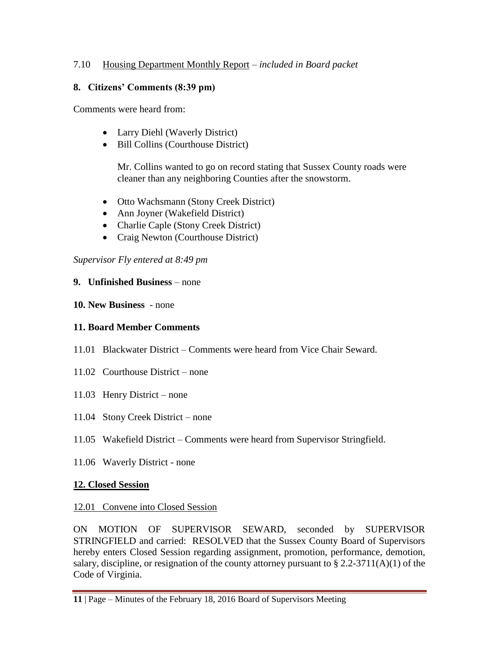# 7.10 Housing Department Monthly Report – *included in Board packet*

## **8. Citizens' Comments (8:39 pm)**

Comments were heard from:

- Larry Diehl (Waverly District)
- Bill Collins (Courthouse District)

Mr. Collins wanted to go on record stating that Sussex County roads were cleaner than any neighboring Counties after the snowstorm.

- Otto Wachsmann (Stony Creek District)
- Ann Joyner (Wakefield District)
- Charlie Caple (Stony Creek District)
- Craig Newton (Courthouse District)

# *Supervisor Fly entered at 8:49 pm*

# **9. Unfinished Business** – none

# **10. New Business** - none

# **11. Board Member Comments**

- 11.01 Blackwater District Comments were heard from Vice Chair Seward.
- 11.02 Courthouse District none
- 11.03 Henry District none
- 11.04 Stony Creek District none
- 11.05 Wakefield District Comments were heard from Supervisor Stringfield.
- 11.06 Waverly District none

# **12. Closed Session**

## 12.01 Convene into Closed Session

ON MOTION OF SUPERVISOR SEWARD, seconded by SUPERVISOR STRINGFIELD and carried: RESOLVED that the Sussex County Board of Supervisors hereby enters Closed Session regarding assignment, promotion, performance, demotion, salary, discipline, or resignation of the county attorney pursuant to  $\S 2.2-3711(A)(1)$  of the Code of Virginia.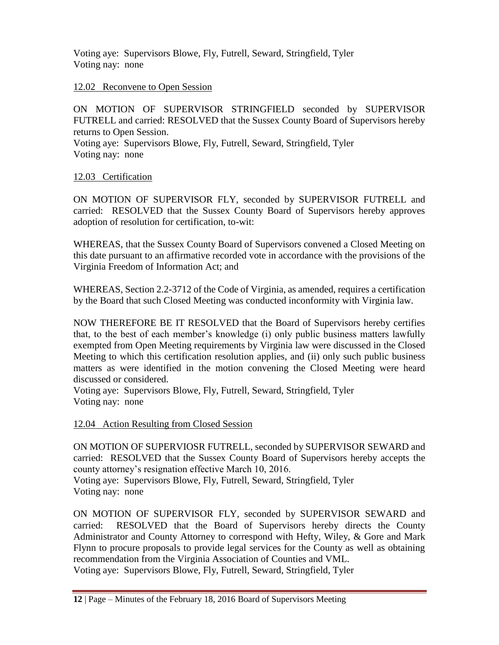Voting aye: Supervisors Blowe, Fly, Futrell, Seward, Stringfield, Tyler Voting nay: none

### 12.02 Reconvene to Open Session

ON MOTION OF SUPERVISOR STRINGFIELD seconded by SUPERVISOR FUTRELL and carried: RESOLVED that the Sussex County Board of Supervisors hereby returns to Open Session. Voting aye: Supervisors Blowe, Fly, Futrell, Seward, Stringfield, Tyler Voting nay: none

### 12.03 Certification

ON MOTION OF SUPERVISOR FLY, seconded by SUPERVISOR FUTRELL and carried: RESOLVED that the Sussex County Board of Supervisors hereby approves adoption of resolution for certification, to-wit:

WHEREAS, that the Sussex County Board of Supervisors convened a Closed Meeting on this date pursuant to an affirmative recorded vote in accordance with the provisions of the Virginia Freedom of Information Act; and

WHEREAS, Section 2.2-3712 of the Code of Virginia, as amended, requires a certification by the Board that such Closed Meeting was conducted inconformity with Virginia law.

NOW THEREFORE BE IT RESOLVED that the Board of Supervisors hereby certifies that, to the best of each member's knowledge (i) only public business matters lawfully exempted from Open Meeting requirements by Virginia law were discussed in the Closed Meeting to which this certification resolution applies, and (ii) only such public business matters as were identified in the motion convening the Closed Meeting were heard discussed or considered.

Voting aye: Supervisors Blowe, Fly, Futrell, Seward, Stringfield, Tyler Voting nay: none

#### 12.04 Action Resulting from Closed Session

ON MOTION OF SUPERVIOSR FUTRELL, seconded by SUPERVISOR SEWARD and carried: RESOLVED that the Sussex County Board of Supervisors hereby accepts the county attorney's resignation effective March 10, 2016.

Voting aye: Supervisors Blowe, Fly, Futrell, Seward, Stringfield, Tyler Voting nay: none

ON MOTION OF SUPERVISOR FLY, seconded by SUPERVISOR SEWARD and carried: RESOLVED that the Board of Supervisors hereby directs the County Administrator and County Attorney to correspond with Hefty, Wiley, & Gore and Mark Flynn to procure proposals to provide legal services for the County as well as obtaining recommendation from the Virginia Association of Counties and VML.

Voting aye: Supervisors Blowe, Fly, Futrell, Seward, Stringfield, Tyler